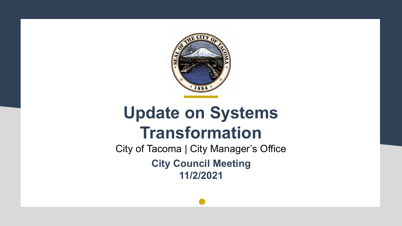

# **Update on Systems Transformation**

City of Tacoma | City Manager's Office **City Council Meeting 11/2/2021**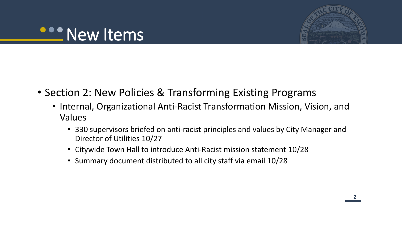# **ODO New Items**



- Section 2: New Policies & Transforming Existing Programs
	- Internal, Organizational Anti-Racist Transformation Mission, Vision, and Values
		- 330 supervisors briefed on anti-racist principles and values by City Manager and Director of Utilities 10/27
		- Citywide Town Hall to introduce Anti-Racist mission statement 10/28
		- Summary document distributed to all city staff via email 10/28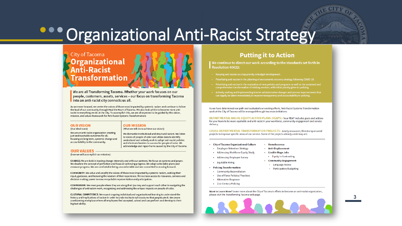# **Organizational Anti-Racist Strategy**

### City of Tacoma **Organizational Transformation**

We are all Transforming Tacoma. Whether your work focuses on our people, customers, assets, services - our focus on transforming Tacoma into an anti-racist city connects us all.

As we move forward, we center the voices of those most impacted by systemic racism and continue to follow the lead of our community through Heal the Heart of Tacoma. We also look within to become more antiracist in everything we do at the City. To accomplish this, we are all expected to be guided by this vision, mission, and values framework for Anti-Racist Systems Transformation:

#### **OUR VISION** (Our ideal state):

### **OUR MISSION**

(What we will do to achieve our vision):

We dismantle institutional and structural racism. We listen

understand and actively work to adopt anti-racist policies

acknowledge and repair harm caused by the City of Tacoma.

and eliminate barriers to success for people of color. We

to voices of people of color and utilize data to identify.

We are an anti-racist organization creating just and equitable outcomes for all: focusing on long term, systemic change and accountability to the community.

### **OUR VALUES -**

(how we will accomplish our mission):

CHANGE: We are bold in leading change internally and with our partners. We focus on systems and power. We disallow the concept of perfection and focus on achieving progress. We adopt actionable plans and measure progress. We are comfortable being uncomfortable and are committed to moving forward.

COMMUNITY: We value and amplify the voices of those most impacted by systemic racism, seeking their input, guidance, and honoring the wisdom of their experience. We increase access to resources, services and decision making power to ensure equitable representation and participation.

COMPASSION: We meet people where they are along their journey and support each other in navigating the challenges of antiracism work, recognizing and addressing the unique impacts on people of color.

CULTURAL COMPETENCE: We expect ongoing individual and organizational learning to understand the history and implications of racism in order to undo institutional structures that perpetuate it. We create a welcoming workplace where all employees feel accepted, valued and can perform and develop to their highest ability.

### **Putting it to Action**

We continue to direct our work according to the standards set forth in **Resolution 40622:** 

- Keeping anti-racism as a top priority in budget development.
- Prioritizing anti-racism in the planning of an economic recovery strategy following COVID-19.
- Prioritizing anti-racism in the evaluation of new policies and programs as well as the sustained and<br>comprehensive transformation of existing services, with initial priority given to policing.
- . Actively seeking and implementing interim administrative changes and process improvements that can legally be taken immediately to improve transparency and accountability in policing.

As we have determined our path and evaluated our existing efforts, Anti-Racist Systems Transformation work at the City of Tacoma will be managed through two main initiatives:

DEPARTMENTAL RACIAL EQUITY ACTION PLANS (REAPS): Your REAP includes goals and actions for your team to be more equitable and anti-racist in your workforce, community engagement and service delivery.

CROSS-DEPARTMENTAL TRANSFORMATION PROJECTS: Jointly-resourced, Director-sponsored projects to improve specific areas of our service. Some of the projects already underway are:

• Homelessness

• Anti-Displacement

• Equity in Contracting

• Community Engagement

• Language Access

• Participatory Budgeting

- City of Tacoma Organizational Culture
	- Employee Retention Strategy
	- Addressing Workforce Equity Study • Livable Wage Jobs
	- **Addressing Employee Survey**
	- · Equitable Hiring
- Policing Transformation
	- Community Reconciliation
- Use of Force Policies/ Practices
- Alternative Response
- 21st Century Policing

Want to Learn More? Learn more about the City of Tacoma's efforts to become an anti-racist organization, please visit the Transforming Tacoma web page.



**33**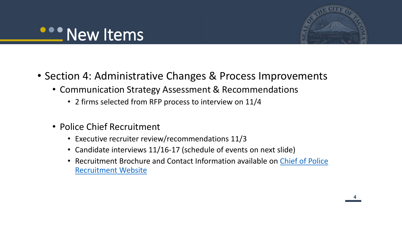# **COO New Items**



- Section 4: Administrative Changes & Process Improvements
	- Communication Strategy Assessment & Recommendations
		- 2 firms selected from RFP process to interview on 11/4
	- Police Chief Recruitment
		- Executive recruiter review/recommendations 11/3
		- Candidate interviews 11/16-17 (schedule of events on next slide)
		- Recruitment Brochure and Contact Information available on Chief of Police Recruitment Website

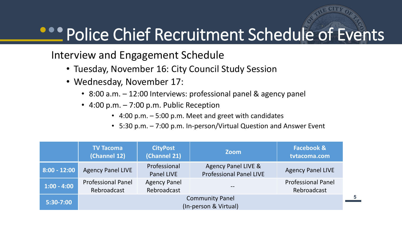# **Police Chief Recruitment Schedule of Events**

### Interview and Engagement Schedule

- Tuesday, November 16: City Council Study Session
- Wednesday, November 17:
	- 8:00 a.m. 12:00 Interviews: professional panel & agency panel
	- $\cdot$  4:00 p.m.  $-7:00$  p.m. Public Reception
		- 4:00 p.m. 5:00 p.m. Meet and greet with candidates
		- 5:30 p.m. 7:00 p.m. In-person/Virtual Question and Answer Event

|                | <b>TV Tacoma</b><br>(Channel 12)                | <b>CityPost</b><br>(Channel 21)    | <b>Zoom</b>                                           | <b>Facebook &amp;</b><br>tvtacoma.com    |  |
|----------------|-------------------------------------------------|------------------------------------|-------------------------------------------------------|------------------------------------------|--|
| $8:00 - 12:00$ | <b>Agency Panel LIVE</b>                        | Professional<br><b>Panel LIVE</b>  | Agency Panel LIVE &<br><b>Professional Panel LIVE</b> | <b>Agency Panel LIVE</b>                 |  |
| $1:00 - 4:00$  | <b>Professional Panel</b><br>Rebroadcast        | <b>Agency Panel</b><br>Rebroadcast |                                                       | <b>Professional Panel</b><br>Rebroadcast |  |
| $5:30-7:00$    | <b>Community Panel</b><br>(In-person & Virtual) |                                    |                                                       |                                          |  |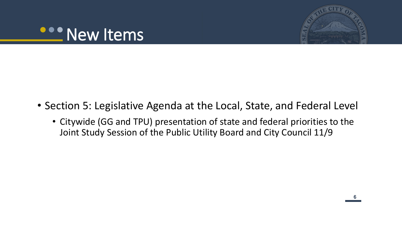



- Section 5: Legislative Agenda at the Local, State, and Federal Level
	- Citywide (GG and TPU) presentation of state and federal priorities to the Joint Study Session of the Public Utility Board and City Council 11/9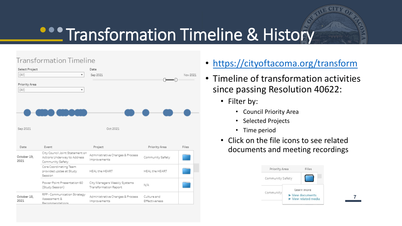# **CONTITRANSFORMATION Timeline & History**

### **Transformation Timeline**

| Select Project<br>(AII)<br>Priority Area<br>(AIII) | ٠<br>۰                                                                             | Date<br>Sep 2021                                      |                              | Nov 2021 |
|----------------------------------------------------|------------------------------------------------------------------------------------|-------------------------------------------------------|------------------------------|----------|
| Sep 2021                                           |                                                                                    | Oct 2021                                              |                              |          |
| Date                                               | Event                                                                              | Project                                               | Priority Area                | Files    |
| October 19,<br>2021                                | City Council Joint Statement on<br>Actions Underway to Address<br>Community Safety | Administrative Changes & Process<br>Improvements      | Community Safety             |          |
|                                                    | Core Coordinating Team<br>provided updae at Study<br>Session                       | HEAL the HEART                                        | HEAL the HEART               |          |
|                                                    | Power Point Presentation 60<br>(Study Session)                                     | City Managers Weekly Systems<br>Transformation Report | N/A                          |          |
| October 18,<br>2021                                | RFP - Communication Strategy<br>Assessment &<br>Recommendations                    | Administrative Changes & Process<br>Improvements      | Culture and<br>Effectiveness |          |

- <https://cityoftacoma.org/transform>
- Timeline of transformation activities since passing Resolution 40622:
	- Filter by:
		- Council Priority Area
		- Selected Projects
		- Time period
	- Click on the file icons to see related documents and meeting recordings



**77**